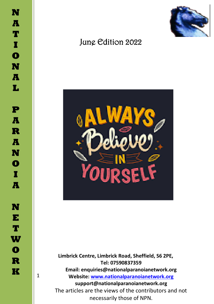1



# June Edition 2022



 **Limbrick Centre, Limbrick Road, Sheffield, S6 2PE, Tel: 07590837359 Email: enquiries@nationalparanoianetwork.org Website: [www.nationalparanoianetwork.org](about:blank) support@nationalparanoianetwork.org** The articles are the views of the contributors and not necessarily those of NPN.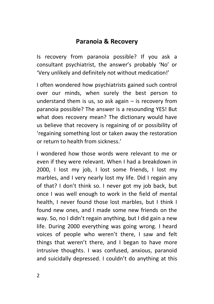## **Paranoia & Recovery**

Is recovery from paranoia possible? If you ask a consultant psychiatrist, the answer's probably 'No' or 'Very unlikely and definitely not without medication!'

I often wondered how psychiatrists gained such control over our minds, when surely the best person to understand them is us, so ask again  $-$  is recovery from paranoia possible? The answer is a resounding YES! But what does recovery mean? The dictionary would have us believe that recovery is regaining of or possibility of 'regaining something lost or taken away the restoration or return to health from sickness.'

I wondered how those words were relevant to me or even if they were relevant. When I had a breakdown in 2000, I lost my job, I lost some friends, I lost my marbles, and I very nearly lost my life. Did I regain any of that? I don't think so. I never got my job back, but once I was well enough to work in the field of mental health, I never found those lost marbles, but I think I found new ones, and I made some new friends on the way. So, no I didn't regain anything, but I did gain a new life. During 2000 everything was going wrong. I heard voices of people who weren't there, I saw and felt things that weren't there, and I began to have more intrusive thoughts. I was confused, anxious, paranoid and suicidally depressed. I couldn't do anything at this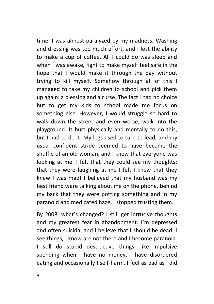time. I was almost paralyzed by my madness. Washing and dressing was too much effort, and I lost the ability to make a cup of coffee. All I could do was sleep and when I was awake, fight to make myself feel safe in the hope that I would make it through the day without trying to kill myself. Somehow through all of this I managed to take my children to school and pick them up again: a blessing and a curse. The fact I had no choice but to get my kids to school made me focus on something else. However, I would struggle so hard to walk down the street and even worse, walk into the playground. It hurt physically and mentally to do this, but I had to do it. My legs used to turn to lead, and my usual confident stride seemed to have become the shuffle of an old woman, and I knew that everyone was looking at me. I felt that they could see my thoughts: that they were laughing at me I felt I knew that they knew I was mad! I believed that my husband was my best friend were talking about me on the phone, behind my back that they were potting something and in my paranoid and medicated haze, I stopped trusting them.

By 2008, what's changed? I still get intrusive thoughts and my greatest fear in abandonment. I'm depressed and often suicidal and I believe that I should be dead. I see things, I know are not there and I become paranoia. I still do stupid destructive things, like impulsive spending when I have no money, I have disordered eating and occasionally I self-harm. I feel as bad as I did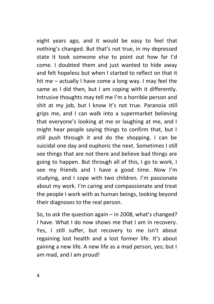eight years ago, and it would be easy to feel that nothing's changed. But that's not true, in my depressed state it took someone else to point out how far I'd come. I doubted them and just wanted to hide away and felt hopeless but when I started to reflect on that it hit me – actually I have come a long way. I may feel the same as I did then, but I am coping with it differently. Intrusive thoughts may tell me I'm a horrible person and shit at my job, but I know it's not true. Paranoia still grips me, and I can walk into a supermarket believing that everyone's looking at me or laughing at me, and I might hear people saying things to confirm that, but I still push through it and do the shopping. I can be suicidal one day and euphoric the next. Sometimes I still see things that are not there and believe bad things are going to happen. But through all of this, I go to work, I see my friends and I have a good time. Now I'm studying, and I cope with two children. I'm passionate about my work. I'm caring and compassionate and treat the people I work with as human beings, looking beyond their diagnoses to the real person.

So, to ask the question again – in 2008, what's changed? I have. What I do now shows me that I am in recovery. Yes, I still suffer, but recovery to me isn't about regaining lost health and a lost former life. It's about gaining a new life. A new life as a mad person, yes; but I am mad, and I am proud!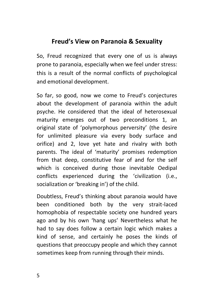## **Freud's View on Paranoia & Sexuality**

So, Freud recognized that every one of us is always prone to paranoia, especially when we feel under stress: this is a result of the normal conflicts of psychological and emotional development.

So far, so good, now we come to Freud's conjectures about the development of paranoia within the adult psyche. He considered that the ideal of heterosexual maturity emerges out of two preconditions 1, an original state of 'polymorphous perversity' (the desire for unlimited pleasure via every body surface and orifice) and 2, love yet hate and rivalry with both parents. The ideal of 'maturity' promises redemption from that deep, constitutive fear of and for the self which is conceived during those inevitable Oedipal conflicts experienced during the 'civilization (i.e., socialization or 'breaking in') of the child.

Doubtless, Freud's thinking about paranoia would have been conditioned both by the very strait-laced homophobia of respectable society one hundred years ago and by his own 'hang ups' Nevertheless what he had to say does follow a certain logic which makes a kind of sense, and certainly he poses the kinds of questions that preoccupy people and which they cannot sometimes keep from running through their minds.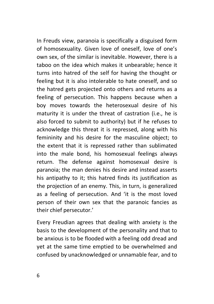In Freuds view, paranoia is specifically a disguised form of homosexuality. Given love of oneself, love of one's own sex, of the similar is inevitable. However, there is a taboo on the idea which makes it unbearable; hence it turns into hatred of the self for having the thought or feeling but it is also intolerable to hate oneself, and so the hatred gets projected onto others and returns as a feeling of persecution. This happens because when a boy moves towards the heterosexual desire of his maturity it is under the threat of castration (i.e., he is also forced to submit to authority) but if he refuses to acknowledge this threat it is repressed, along with his femininity and his desire for the masculine object; to the extent that it is repressed rather than sublimated into the male bond, his homosexual feelings always return. The defense against homosexual desire is paranoia; the man denies his desire and instead asserts his antipathy to it; this hatred finds its iustification as the projection of an enemy. This, in turn, is generalized as a feeling of persecution. And 'it is the most loved person of their own sex that the paranoic fancies as their chief persecutor.'

Every Freudian agrees that dealing with anxiety is the basis to the development of the personality and that to be anxious is to be flooded with a feeling odd dread and yet at the same time emptied to be overwhelmed and confused by unacknowledged or unnamable fear, and to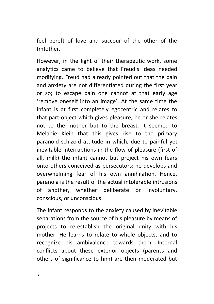feel bereft of love and succour of the other of the (m)other.

However, in the light of their therapeutic work, some analytics came to believe that Freud's ideas needed modifying. Freud had already pointed out that the pain and anxiety are not differentiated during the first year or so; to escape pain one cannot at that early age 'remove oneself into an image'. At the same time the infant is at first completely egocentric and relates to that part-object which gives pleasure; he or she relates not to the mother but to the breast. It seemed to Melanie Klein that this gives rise to the primary paranoid schizoid attitude in which, due to painful yet inevitable interruptions in the flow of pleasure (first of all, milk) the infant cannot but project his own fears onto others conceived as persecutors; he develops and overwhelming fear of his own annihilation. Hence, paranoia is the result of the actual intolerable intrusions of another, whether deliberate or involuntary, conscious, or unconscious.

The infant responds to the anxiety caused by inevitable separations from the source of his pleasure by means of projects to re-establish the original unity with his mother. He learns to relate to whole objects, and to recognize his ambivalence towards them. Internal conflicts about these exterior objects (parents and others of significance to him) are then moderated but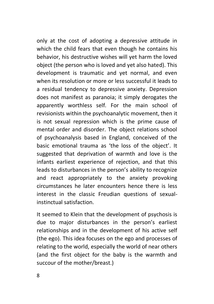only at the cost of adopting a depressive attitude in which the child fears that even though he contains his behavior, his destructive wishes will yet harm the loved object (the person who is loved and yet also hated). This development is traumatic and yet normal, and even when its resolution or more or less successful it leads to a residual tendency to depressive anxiety. Depression does not manifest as paranoia; it simply derogates the apparently worthless self. For the main school of revisionists within the psychoanalytic movement, then it is not sexual repression which is the prime cause of mental order and disorder. The object relations school of psychoanalysis based in England, conceived of the basic emotional trauma as 'the loss of the object'. It suggested that deprivation of warmth and love is the infants earliest experience of rejection, and that this leads to disturbances in the person's ability to recognize and react appropriately to the anxiety provoking circumstances he later encounters hence there is less interest in the classic Freudian questions of sexualinstinctual satisfaction.

It seemed to Klein that the development of psychosis is due to major disturbances in the person's earliest relationships and in the development of his active self (the ego). This idea focuses on the ego and processes of relating to the world, especially the world of near others (and the first object for the baby is the warmth and succour of the mother/breast.)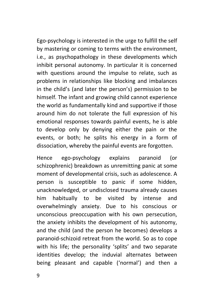Ego-psychology is interested in the urge to fulfill the self by mastering or coming to terms with the environment, i.e., as psychopathology in these developments which inhibit personal autonomy. In particular it is concerned with questions around the impulse to relate, such as problems in relationships like blocking and imbalances in the child's (and later the person's) permission to be himself. The infant and growing child cannot experience the world as fundamentally kind and supportive if those around him do not tolerate the full expression of his emotional responses towards painful events, he is able to develop only by denying either the pain or the events, or both; he splits his energy in a form of dissociation, whereby the painful events are forgotten.

Hence ego-psychology explains paranoid (or schizophrenic) breakdown as unremitting panic at some moment of developmental crisis, such as adolescence. A person is susceptible to panic if some hidden, unacknowledged, or undisclosed trauma already causes him habitually to be visited by intense and overwhelmingly anxiety. Due to his conscious or unconscious preoccupation with his own persecution, the anxiety inhibits the development of his autonomy, and the child (and the person he becomes) develops a paranoid-schizoid retreat from the world. So as to cope with his life; the personality 'splits' and two separate identities develop; the induvial alternates between being pleasant and capable ('normal') and then a

9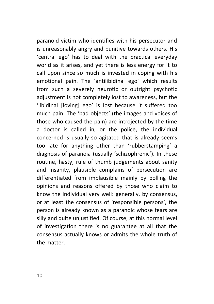paranoid victim who identifies with his persecutor and is unreasonably angry and punitive towards others. His 'central ego' has to deal with the practical everyday world as it arises, and yet there is less energy for it to call upon since so much is invested in coping with his emotional pain. The 'antilibidinal ego' which results from such a severely neurotic or outright psychotic adjustment is not completely lost to awareness, but the 'libidinal [loving] ego' is lost because it suffered too much pain. The 'bad objects' (the images and voices of those who caused the pain) are introjected by the time a doctor is called in, or the police, the individual concerned is usually so agitated that is already seems too late for anything other than 'rubberstamping' a diagnosis of paranoia (usually 'schizophrenic'). In these routine, hasty, rule of thumb judgements about sanity and insanity, plausible complains of persecution are differentiated from implausible mainly by polling the opinions and reasons offered by those who claim to know the individual very well: generally, by consensus, or at least the consensus of 'responsible persons', the person is already known as a paranoic whose fears are silly and quite uniustified. Of course, at this normal level of investigation there is no guarantee at all that the consensus actually knows or admits the whole truth of the matter.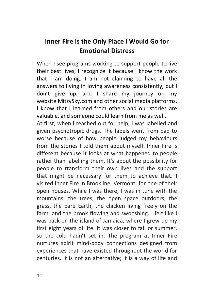# **Inner Fire Is the Only Place I Would Go for Emotional Distress**

When I see programs working to support people to live their best lives, I recognize it because I know the work that I am doing. I am not claiming to have all the answers to living in loving awareness consistently, but I don't give up, and I share my journey on my website [MitzySky.com](http://www.mitzysky.com/) and other social media platforms. I know that I learned from others and our stories are valuable, and someone could learn from me as well.

At first, when I reached out for help, I was labelled and given psychotropic drugs. The labels went from bad to worse because of how people judged my behaviours from the stories I told them about myself. Inner Fire is different because it looks at what happened to people rather than labelling them. It's about the possibility for people to transform their own lives and the support that might be necessary for them to achieve that. I visited Inner Fire in Brookline, Vermont, for one of their open houses. While I was there, I was in tune with the mountains, the trees, the open space outdoors, the grass, the bare Earth, the chicken living freely on the farm, and the brook flowing and swooshing. I felt like I was back on the island of Jamaica, where I grew up my first eight years of life. It was closer to fall or summer, so the cold hadn't set in. The program at Inner Fire nurtures spirit mind-body connections designed from experiences that have existed throughout the world for centuries. It is not an alternative; it is a way of life and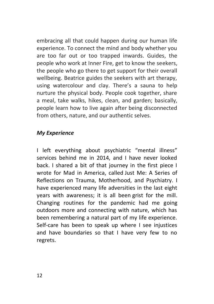embracing all that could happen during our human life experience. To connect the mind and body whether you are too far out or too trapped inwards. Guides, the people who work at Inner Fire, get to know the seekers, the people who go there to get support for their overall wellbeing. Beatrice guides the seekers with art therapy, using watercolour and clay. There's a sauna to help nurture the physical body. People cook together, share a meal, take walks, hikes, clean, and garden; basically, people learn how to live again after being disconnected from others, nature, and our authentic selves.

#### *My Experience*

I left everything about psychiatric "mental illness" services behind me in 2014, and I have never looked back. I shared a bit of that journey in the first piece I wrote for Mad in America, called [Just Me: A Series of](https://www.madinamerica.com/2015/01/just-series-reflections-trauma-motherhood-psychiatry/)  [Reflections on Trauma, Motherhood, and Psychiatry.](https://www.madinamerica.com/2015/01/just-series-reflections-trauma-motherhood-psychiatry/) I have experienced many life adversities in the last eight years with awareness; it is all been [grist for the mill.](https://www.amazon.com/Grist-Mill-Awakening-Ram-Dass/dp/0062235915) Changing routines for the pandemic had me going outdoors more and connecting with nature, which has been remembering a natural part of my life experience. Self-care has been to speak up where I see injustices and have boundaries so that I have very few to no regrets.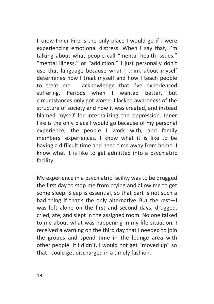I know Inner Fire is the only place I would go if I were experiencing emotional distress. When I say that, I'm talking about what people call "mental health issues," "mental illness," or "addiction." I just personally don't use that language because what I think about myself determines how I treat myself and how I teach people to treat me. I acknowledge that I've experienced suffering. Periods when I wanted better, but circumstances only got worse. I lacked awareness of the structure of society and how it was created, and instead blamed myself for internalizing the oppression. Inner Fire is the only place I would go because of my personal experience, the people I work with, and family members' experiences. I know what it is like to be having a difficult time and need time away from home. I know what it is like to get admitted into a psychiatric facility.

My experience in a psychiatric facility was to be drugged the first day to stop me from crying and allow me to get some sleep. Sleep is essential, so that part is not such a bad thing if that's the only alternative. But the rest—I was left alone on the first and second days, drugged, cried, ate, and slept in the assigned room. No one talked to me about what was happening in my life situation. I received a warning on the third day that I needed to join the groups and spend time in the lounge area with other people. If I didn't, I would not get "moved up" so that I could get discharged in a timely fashion.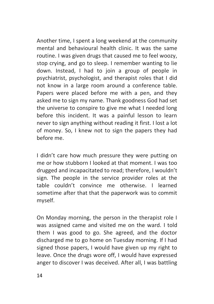Another time, I spent a long weekend at the community mental and behavioural health clinic. It was the same routine. I was given drugs that caused me to feel woozy, stop crying, and go to sleep. I remember wanting to lie down. Instead, I had to join a group of people in psychiatrist, psychologist, and therapist roles that I did not know in a large room around a conference table. Papers were placed before me with a pen, and they asked me to sign my name. Thank goodness God had set the universe to conspire to give me what I needed long before this incident. It was a painful lesson to learn never to sign anything without reading it first. I lost a lot of money. So, I knew not to sign the papers they had before me.

I didn't care how much pressure they were putting on me or how stubborn I looked at that moment. I was too drugged and incapacitated to read; therefore, I wouldn't sign. The people in the service provider roles at the table couldn't convince me otherwise. I learned sometime after that that the paperwork was to commit myself.

On Monday morning, the person in the therapist role I was assigned came and visited me on the ward. I told them I was good to go. She agreed, and the doctor discharged me to go home on Tuesday morning. If I had signed those papers, I would have given up my right to leave. Once the drugs wore off, I would have expressed anger to discover I was deceived. After all, I was battling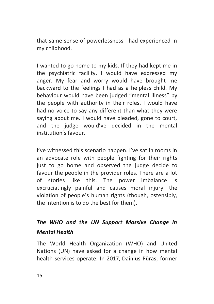that same sense of powerlessness I had experienced in my childhood.

I wanted to go home to my kids. If they had kept me in the psychiatric facility, I would have expressed my anger. My fear and worry would have brought me backward to the feelings I had as a helpless child. My behaviour would have been judged "mental illness" by the people with authority in their roles. I would have had no voice to say any different than what they were saying about me. I would have pleaded, gone to court, and the judge would've decided in the mental institution's favour.

I've witnessed this scenario happen. I've sat in rooms in an advocate role with people fighting for their rights just to go home and observed the judge decide to favour the people in the provider roles. There are a lot of stories like this. The power imbalance is excruciatingly painful and causes moral injury—the violation of people's human rights (though, ostensibly, the intention is to do the best for them).

# *The WHO and the UN Support Massive Change in Mental Health*

The World Health Organization (WHO) and United Nations (UN) have asked for a change in how mental health services operate. In 2017, [Dainius Pūras](https://www.madinamerica.com/2020/05/bringing-human-rights-mental-health-care-interview-dainius-puras/), former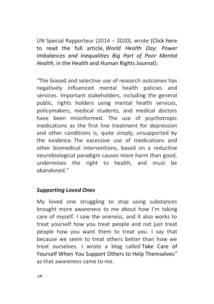UN Special Rapporteur (2014 – 2020), wrote [\(Click here](https://www.hhrjournal.org/2017/04/world-health-day-power-imbalances-and-inequalities-big-part-of-poor-mental-health-2/)  to read the full article, *[World Health Day: Power](https://www.hhrjournal.org/2017/04/world-health-day-power-imbalances-and-inequalities-big-part-of-poor-mental-health-2/)  [Imbalances and Inequalities Big Part of Poor Mental](https://www.hhrjournal.org/2017/04/world-health-day-power-imbalances-and-inequalities-big-part-of-poor-mental-health-2/)  Health*[, in the Health and Human Rights Journal\)](https://www.hhrjournal.org/2017/04/world-health-day-power-imbalances-and-inequalities-big-part-of-poor-mental-health-2/):

*"*The biased and selective use of research outcomes has negatively influenced mental health policies and services. Important stakeholders, including the general public, rights holders using mental health services, policymakers, medical students, and medical doctors have been misinformed. The use of psychotropic medications as the first line treatment for depression and other conditions is, quite simply, unsupported by the evidence. The excessive use of medications and other biomedical interventions, based on a reductive neurobiological paradigm causes more harm than good, undermines the right to health, and must be abandoned."

#### *Supporting Loved Ones*

My loved one struggling to stop using substances brought more awareness to me about how I'm taking care of myself. I saw the oneness, and it also works to treat yourself how you treat people and not just treat people how you want them to treat you. I say that because we seem to treat others better than how we treat ourselves. I wrote a blog called [Take Care of](https://mitzysky.com/blog/f/take-care-of-yourself-when-you-support-others-to-help-themselves)  [Yourself When You Support Others to Help Themselves](https://mitzysky.com/blog/f/take-care-of-yourself-when-you-support-others-to-help-themselves)" as that awareness came to me.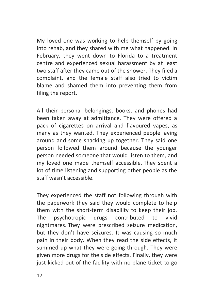My loved one was working to help themself by going into rehab, and they shared with me what happened. In February, they went down to Florida to a treatment centre and experienced sexual harassment by at least two staff after they came out of the shower. They filed a complaint, and the female staff also tried to victim blame and shamed them into preventing them from filing the report.

All their personal belongings, books, and phones had been taken away at admittance. They were offered a pack of cigarettes on arrival and flavoured vapes, as many as they wanted. They experienced people laying around and some shacking up together. They said one person followed them around because the younger person needed someone that would listen to them, and my loved one made themself accessible. They spent a lot of time listening and supporting other people as the staff wasn't accessible.

They experienced the staff not following through with the paperwork they said they would complete to help them with the short-term disability to keep their job. The psychotropic drugs contributed to vivid nightmares. They were prescribed seizure medication, but they don't have seizures. It was causing so much pain in their body. When they read the side effects, it summed up what they were going through. They were given more drugs for the side effects. Finally, they were just kicked out of the facility with no plane ticket to go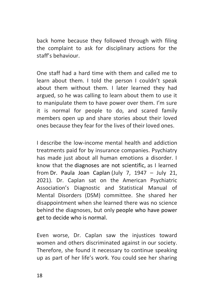back home because they followed through with filing the complaint to ask for disciplinary actions for the staff's behaviour.

One staff had a hard time with them and called me to learn about them. I told the person I couldn't speak about them without them. I later learned they had argued, so he was calling to learn about them to use it to manipulate them to have power over them. I'm sure it is normal for people to do, and scared family members open up and share stories about their loved ones because they fear for the lives of their loved ones.

I describe the low-income mental health and addiction treatments paid for by insurance companies. Psychiatry has made just about all human emotions a disorder. I know that the [diagnoses are not scientific,](https://www.youtube.com/watch?v=-qIQqRl94_Y) as I learned from [Dr. Paula Joan Caplan](https://www.paulajcaplan.net/) (July 7, 1947 – July 21, 2021). Dr. Caplan sat on the American Psychiatric Association's Diagnostic and Statistical Manual of Mental Disorders (DSM) committee. She shared her disappointment when she learned there was no science behind the diagnoses, but only [people who have power](https://www.amazon.com/They-Say-Youre-Crazy-Psychiatrists/dp/0201407582/ref=as_li_ss_il?keywords=They+Say+You%27re+Crazy&qid=1554486859&s=gateway&sr=8-1&linkCode=li1&tag=whejohandja0d-20&linkId=9114cba73496ff5f388235a3586c6299&language=en_US)  [get to decide who is normal.](https://www.amazon.com/They-Say-Youre-Crazy-Psychiatrists/dp/0201407582/ref=as_li_ss_il?keywords=They+Say+You%27re+Crazy&qid=1554486859&s=gateway&sr=8-1&linkCode=li1&tag=whejohandja0d-20&linkId=9114cba73496ff5f388235a3586c6299&language=en_US)

Even worse, Dr. Caplan saw the injustices toward women and others discriminated against in our society. Therefore, she found it necessary to continue speaking up as part of her life's work. You could see her sharing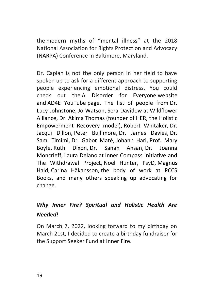the [modern myths of "](https://youtu.be/qBTM_qYYaH8)mental illness" at the 2018 National Association for Rights Protection and Advocacy [\(NARPA\)](https://www.narpa.org/) Conference in Baltimore, Maryland.

Dr. Caplan is not the only person in her field to have spoken up to ask for a different approach to supporting people experiencing emotional distress. You could check out the [A Disorder for Everyone](https://adisorder4everyone.com/) website and [AD4E YouTube](https://www.youtube.com/channel/UCaWG15Tqjo6sZ7obcnKc_Mw) page. The list of people from [Dr.](https://www.google.com/url?sa=t&rct=j&q=&esrc=s&source=web&cd=&cad=rja&uact=8&ved=2ahUKEwj1-ruCuYr3AhUhmuAKHbhEBmcQwqsBegQIExAB&url=https%3A%2F%2Fwww.youtube.com%2Fwatch%3Fv%3D30FYlkOAwIE&usg=AOvVaw2CsG1-f3qb57dC69mWUM2_)  [Lucy Johnstone,](https://www.google.com/url?sa=t&rct=j&q=&esrc=s&source=web&cd=&cad=rja&uact=8&ved=2ahUKEwj1-ruCuYr3AhUhmuAKHbhEBmcQwqsBegQIExAB&url=https%3A%2F%2Fwww.youtube.com%2Fwatch%3Fv%3D30FYlkOAwIE&usg=AOvVaw2CsG1-f3qb57dC69mWUM2_) [Jo Watson,](https://adisorder4everyone.com/bio/jo-watson/) [Sera Davidow](https://www.madinamerica.com/author/sdavidow/) at [Wildflower](https://wildfloweralliance.org/)  [Alliance,](https://wildfloweralliance.org/) [Dr. Akima Thomas](https://youtu.be/IugTAvieTaI) (founder of HER, the Holistic Empowerment Recovery model), [Robert Whitaker,](https://robertwhitakerbooks.com/) [Dr.](https://youtu.be/cQ4fSa18de8)  [Jacqui Dillon,](https://youtu.be/cQ4fSa18de8) [Peter Bullimore,](https://youtu.be/5DBXm0eanjA) [Dr. James Davies,](https://youtu.be/6JPgpasgueQ) [Dr.](https://www.samitimimi.co.uk/)  [Sami Timimi,](https://www.samitimimi.co.uk/) [Dr. Gabor Maté,](https://drgabormate.com/) [Johann Hari,](https://johannhari.com/) [Prof. Mary](https://www.pccs-books.co.uk/authors/mary-boyle)  [Boyle,](https://www.pccs-books.co.uk/authors/mary-boyle) [Ruth Dixon,](https://youtu.be/zyde0C9x6iw) [Dr. Sanah Ahsan,](https://youtu.be/j8I8M0_dim4) [Dr. Joanna](https://www.google.com/url?sa=t&rct=j&q=&esrc=s&source=web&cd=&cad=rja&uact=8&ved=2ahUKEwjGp_SMuIr3AhUphOAKHRBEBg0QFnoECBMQAQ&url=https%3A%2F%2Fjoannamoncrieff.com%2F&usg=AOvVaw25eHoOFn09jJjHFu8O6QLs)  [Moncrieff,](https://www.google.com/url?sa=t&rct=j&q=&esrc=s&source=web&cd=&cad=rja&uact=8&ved=2ahUKEwjGp_SMuIr3AhUphOAKHRBEBg0QFnoECBMQAQ&url=https%3A%2F%2Fjoannamoncrieff.com%2F&usg=AOvVaw25eHoOFn09jJjHFu8O6QLs) [Laura Delano](https://www.lauradelano.com/) at [Inner Compass Initiative and](https://www.theinnercompass.org/)  [The Withdrawal Project,](https://www.theinnercompass.org/) [Noel Hunter, PsyD,](https://www.noelrhunter.com/events/) [Magnus](https://www.newvisionformentalhealth.com/tag/magnus-hald/)  [Hald,](https://www.newvisionformentalhealth.com/tag/magnus-hald/) [Carina Häkansson,](https://www.madinamerica.com/author/chakansson/) [the body of work at PCCS](https://www.pccs-books.co.uk/)  [Books,](https://www.pccs-books.co.uk/) and many others speaking up advocating for change.

# *Why Inner Fire? Spiritual and Holistic Health Are Needed!*

On March 7, 2022, looking forward to my birthday on March 21st, I decided to create a [birthday fundraiser](https://www.facebook.com/donate/4906819242735745/505266254332611/) for the Support Seeker Fund at [Inner Fire.](http://www.innerfire.us/)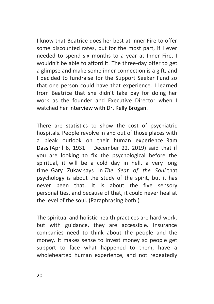I know that Beatrice does her best at Inner Fire to offer some discounted rates, but for the most part, if I ever needed to spend six months to a year at Inner Fire, I wouldn't be able to afford it. The three-day offer to get a glimpse and make some inner connection is a gift, and I decided to fundraise for the Support Seeker Fund so that one person could have that experience. I learned from Beatrice that she didn't take pay for doing her work as the founder and Executive Director when I watched her [interview with Dr. Kelly Brogan.](https://youtu.be/vz7mHqEOZoo)

There are statistics to show the cost of psychiatric hospitals. People revolve in and out of those places with a bleak outlook on their human experience. [Ram](https://www.ramdass.org/)  [Dass](https://www.ramdass.org/) (April 6, 1931 – December 22, 2019) said that if you are looking to fix the psychological before the spiritual, it will be a cold day in hell, a very long time. [Gary Zukav](https://en.wikipedia.org/wiki/Gary_Zukav) says in *The Seat of the Soul* that psychology is about the study of the spirit, but it has never been that. It is about the five sensory personalities, and because of that, it could never heal at the level of the soul. (Paraphrasing both.)

The spiritual and holistic health practices are hard work, but with guidance, they are accessible. Insurance companies need to think about the people and the money. It makes sense to invest money so people get support to face what happened to them, have a wholehearted human experience, and not repeatedly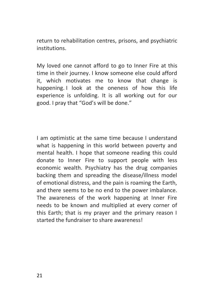return to rehabilitation centres, prisons, and psychiatric institutions.

My loved one cannot afford to go to Inner Fire at this time in their journey. I know someone else could afford it, which motivates me to know that change is happening. I look at the oneness of how this life experience is unfolding. It is all working out for our good. I pray that "God's will be done."

I am optimistic at the same time because I understand what is happening in this world between poverty and mental health. I hope that someone reading this could donate to Inner Fire to support people with less economic wealth. Psychiatry has the drug companies backing them and spreading the disease/illness model of emotional distress, and the pain is roaming the Earth, and there seems to be no end to the power imbalance. The awareness of the work happening at Inner Fire needs to be known and multiplied at every corner of this Earth; that is my prayer and the primary reason I started the fundraiser to share awareness!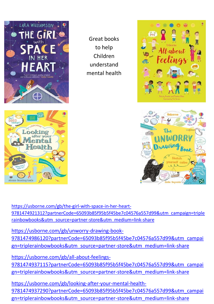

Great books to help Children understand mental health





[https://usborne.com/gb/the-girl-with-space-in-her-heart-](https://usborne.com/gb/the-girl-with-space-in-her-heart-9781474921312?partnerCode=65093b85f95b5f45be7c04576a557d99&utm_campaign=triplerainbowbooks&utm_source=partner-store&utm_medium=link-share)[9781474921312?partnerCode=65093b85f95b5f45be7c04576a557d99&utm\\_campaign=triple](https://usborne.com/gb/the-girl-with-space-in-her-heart-9781474921312?partnerCode=65093b85f95b5f45be7c04576a557d99&utm_campaign=triplerainbowbooks&utm_source=partner-store&utm_medium=link-share) [rainbowbooks&utm\\_source=partner-store&utm\\_medium=link-share](https://usborne.com/gb/the-girl-with-space-in-her-heart-9781474921312?partnerCode=65093b85f95b5f45be7c04576a557d99&utm_campaign=triplerainbowbooks&utm_source=partner-store&utm_medium=link-share)

[https://usborne.com/gb/unworry-drawing-book-](https://usborne.com/gb/unworry-drawing-book-9781474986120?partnerCode=65093b85f95b5f45be7c04576a557d99&utm_campaign=triplerainbowbooks&utm_source=partner-store&utm_medium=link-share)[9781474986120?partnerCode=65093b85f95b5f45be7c04576a557d99&utm\\_campai](https://usborne.com/gb/unworry-drawing-book-9781474986120?partnerCode=65093b85f95b5f45be7c04576a557d99&utm_campaign=triplerainbowbooks&utm_source=partner-store&utm_medium=link-share) [gn=triplerainbowbooks&utm\\_source=partner-store&utm\\_medium=link-share](https://usborne.com/gb/unworry-drawing-book-9781474986120?partnerCode=65093b85f95b5f45be7c04576a557d99&utm_campaign=triplerainbowbooks&utm_source=partner-store&utm_medium=link-share)

[gn=triplerainbowbooks&utm\\_source=partner-store&utm\\_medium=link-share](https://usborne.com/gb/all-about-feelings-9781474937115?partnerCode=65093b85f95b5f45be7c04576a557d99&utm_campaign=triplerainbowbooks&utm_source=partner-store&utm_medium=link-share)<br>[https://usborne.com/gb/all-about-feelings-](https://usborne.com/gb/all-about-feelings-9781474937115?partnerCode=65093b85f95b5f45be7c04576a557d99&utm_campaign=triplerainbowbooks&utm_source=partner-store&utm_medium=link-share)[9781474937115?partnerCode=65093b85f95b5f45be7c04576a557d99&utm\\_campai](https://usborne.com/gb/all-about-feelings-9781474937115?partnerCode=65093b85f95b5f45be7c04576a557d99&utm_campaign=triplerainbowbooks&utm_source=partner-store&utm_medium=link-share)

[https://usborne.com/gb/looking-after-your-mental-health-](https://usborne.com/gb/looking-after-your-mental-health-9781474937290?partnerCode=65093b85f95b5f45be7c04576a557d99&utm_campaign=triplerainbowbooks&utm_source=partner-store&utm_medium=link-share)[9781474937290?partnerCode=65093b85f95b5f45be7c04576a557d99&utm\\_campai](https://usborne.com/gb/looking-after-your-mental-health-9781474937290?partnerCode=65093b85f95b5f45be7c04576a557d99&utm_campaign=triplerainbowbooks&utm_source=partner-store&utm_medium=link-share) [gn=triplerainbowbooks&utm\\_source=partner-store&utm\\_medium=link-share](https://usborne.com/gb/looking-after-your-mental-health-9781474937290?partnerCode=65093b85f95b5f45be7c04576a557d99&utm_campaign=triplerainbowbooks&utm_source=partner-store&utm_medium=link-share)

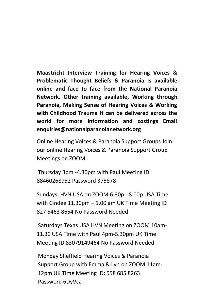**Maastricht Interview Training for Hearing Voices & Problematic Thought Beliefs & Paranoia Is available online and face to face from the National Paranoia Network. Other training available, Working through Paranoia, Making Sense of Hearing Voices & Working with Childhood Trauma It can be delivered across the world for more information and costings Email enquiries@nationalparanoianetwork.org**

Online Hearing Voices & Paranoia Support Groups Join our online Hearing Voices & Paranoia Support Group Meetings on ZOOM

Thursday 3pm -4.30pm with Paul Meeting ID 88460268952 Password 375878

Sundays: HVN USA on ZOOM 6:30p - 8:00p USA Time with Cindee 11.30pm – 1.00 am UK Time Meeting ID 827 5463 8654 No Password Needed

Saturdays Texas USA HVN Meeting on ZOOM 10am-11.30 USA Time with Paul 4pm-5.30pm UK Time Meeting ID 83079149464 No Password Needed

23 12pm UK Time Meeting ID: 558 685 8263 Monday Sheffield Hearing Voices & Paranoia Support Group with Emma & Lyn on ZOOM 11am-Password 6DyVca